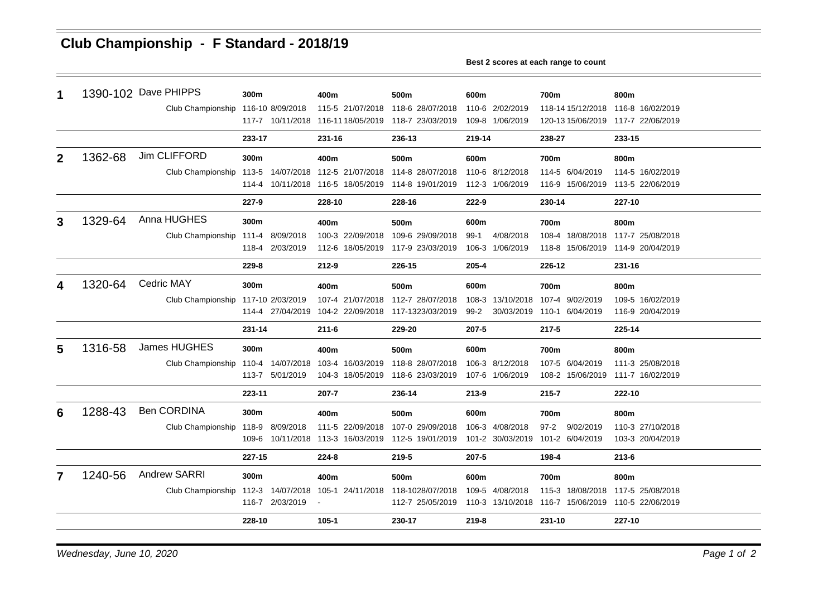## **Club Championship - F Standard - 2018/19**

**Best 2 scores at each range to count**

| 1            |         | 1390-102 Dave PHIPPS | 300m             | 400m                               | 500m             | 600m                | 700m                                               | 800m                              |  |
|--------------|---------|----------------------|------------------|------------------------------------|------------------|---------------------|----------------------------------------------------|-----------------------------------|--|
|              |         | Club Championship    | 116-10 8/09/2018 | 115-5 21/07/2018                   | 118-6 28/07/2018 | 110-6 2/02/2019     | 118-14 15/12/2018                                  | 116-8 16/02/2019                  |  |
|              |         |                      |                  | 117-7 10/11/2018 116-11 18/05/2019 | 118-7 23/03/2019 | 109-8 1/06/2019     | 120-13 15/06/2019 117-7 22/06/2019                 |                                   |  |
|              |         |                      | 233-17           | 231-16                             | 236-13           | 219-14              | 238-27                                             | 233-15                            |  |
| $\mathbf{2}$ | 1362-68 | Jim CLIFFORD         | 300m             | 400m                               | 500m             | 600m                | 700m                                               | 800m                              |  |
|              |         | Club Championship    |                  | 113-5 14/07/2018 112-5 21/07/2018  | 114-8 28/07/2018 | 110-6 8/12/2018     | 114-5 6/04/2019                                    | 114-5 16/02/2019                  |  |
|              |         |                      |                  | 114-4 10/11/2018 116-5 18/05/2019  | 114-8 19/01/2019 | 112-3 1/06/2019     | 116-9 15/06/2019                                   | 113-5 22/06/2019                  |  |
|              |         |                      | 227-9            | 228-10                             | 228-16           | 222-9               | 230-14                                             | 227-10                            |  |
| 3            | 1329-64 | Anna HUGHES          | 300m             | 400m                               | 500m             | 600m                | 700m                                               | 800m                              |  |
|              |         | Club Championship    | 111-4 8/09/2018  | 100-3 22/09/2018                   | 109-6 29/09/2018 | 4/08/2018<br>$99-1$ |                                                    | 108-4 18/08/2018 117-7 25/08/2018 |  |
|              |         |                      | 118-4 2/03/2019  | 112-6 18/05/2019                   | 117-9 23/03/2019 | 106-3 1/06/2019     | 118-8 15/06/2019 114-9 20/04/2019                  |                                   |  |
|              |         |                      | 229-8            | $212 - 9$                          | 226-15           | 205-4               | 226-12                                             | 231-16                            |  |
|              | 1320-64 | <b>Cedric MAY</b>    | 300m             | 400m                               | 500m             | 600m                | 700m                                               | 800m                              |  |
|              |         | Club Championship    | 117-10 2/03/2019 | 107-4 21/07/2018                   | 112-7 28/07/2018 | 108-3 13/10/2018    | 107-4 9/02/2019                                    | 109-5 16/02/2019                  |  |
|              |         |                      | 114-4 27/04/2019 | 104-2 22/09/2018                   | 117-1323/03/2019 | $99-2$              | 30/03/2019 110-1 6/04/2019                         | 116-9 20/04/2019                  |  |
|              |         |                      | 231-14           | $211 - 6$                          | 229-20           | 207-5               | $217 - 5$                                          | 225-14                            |  |
| 5            | 1316-58 | James HUGHES         | 300m             | 400m                               | 500m             | 600m                | 700m                                               | 800m                              |  |
|              |         | Club Championship    | 110-4 14/07/2018 | 103-4 16/03/2019                   | 118-8 28/07/2018 | 106-3 8/12/2018     | 107-5 6/04/2019                                    | 111-3 25/08/2018                  |  |
|              |         |                      | 113-7 5/01/2019  | 104-3 18/05/2019                   | 118-6 23/03/2019 | 107-6 1/06/2019     | 108-2 15/06/2019 111-7 16/02/2019                  |                                   |  |
|              |         |                      | 223-11           | 207-7                              | 236-14           | 213-9               | $215 - 7$                                          | 222-10                            |  |
| 6            | 1288-43 | <b>Ben CORDINA</b>   | 300m             | 400m                               | 500m             | 600m                | 700m                                               | 800m                              |  |
|              |         | Club Championship    | 118-9 8/09/2018  | 111-5 22/09/2018                   | 107-0 29/09/2018 | 106-3 4/08/2018     | $97 - 2$<br>9/02/2019                              | 110-3 27/10/2018                  |  |
|              |         |                      |                  | 109-6 10/11/2018 113-3 16/03/2019  | 112-5 19/01/2019 | 101-2 30/03/2019    | 101-2 6/04/2019                                    | 103-3 20/04/2019                  |  |
|              |         |                      | 227-15           | 224-8                              | 219-5            | 207-5               | 198-4                                              | $213 - 6$                         |  |
| 7            | 1240-56 | <b>Andrew SARRI</b>  | 300m             | 400m                               | 500m             | 600m                | 700m                                               | 800m                              |  |
|              |         | Club Championship    | 112-3 14/07/2018 | 105-1 24/11/2018                   | 118-1028/07/2018 | 109-5 4/08/2018     | 115-3 18/08/2018                                   | 117-5 25/08/2018                  |  |
|              |         |                      | 116-7 2/03/2019  |                                    | 112-7 25/05/2019 |                     | 110-3 13/10/2018 116-7 15/06/2019 110-5 22/06/2019 |                                   |  |
|              |         |                      | 228-10           | $105 - 1$                          | 230-17           | 219-8               | 231-10                                             | 227-10                            |  |